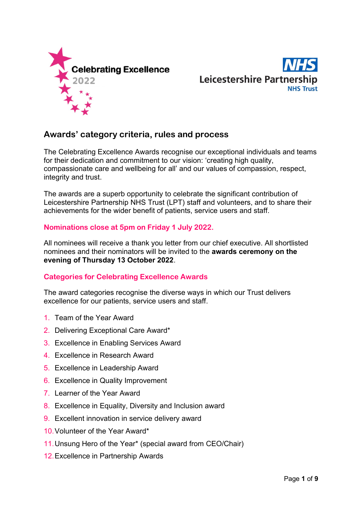



# **Awards' category criteria, rules and process**

The Celebrating Excellence Awards recognise our exceptional individuals and teams for their dedication and commitment to our vision: 'creating high quality, compassionate care and wellbeing for all' and our values of compassion, respect, integrity and trust.

The awards are a superb opportunity to celebrate the significant contribution of Leicestershire Partnership NHS Trust (LPT) staff and volunteers, and to share their achievements for the wider benefit of patients, service users and staff.

# **Nominations close at 5pm on Friday 1 July 2022.**

All nominees will receive a thank you letter from our chief executive. All shortlisted nominees and their nominators will be invited to the **awards ceremony on the evening of Thursday 13 October 2022**.

# **Categories for Celebrating Excellence Awards**

The award categories recognise the diverse ways in which our Trust delivers excellence for our patients, service users and staff.

- 1. Team of the Year Award
- 2. Delivering Exceptional Care Award\*
- 3. Excellence in Enabling Services Award
- 4. Excellence in Research Award
- 5. Excellence in Leadership Award
- 6. Excellence in Quality Improvement
- 7. Learner of the Year Award
- 8. Excellence in Equality, Diversity and Inclusion award
- 9. Excellent innovation in service delivery award
- 10.Volunteer of the Year Award\*
- 11.Unsung Hero of the Year\* (special award from CEO/Chair)
- 12.Excellence in Partnership Awards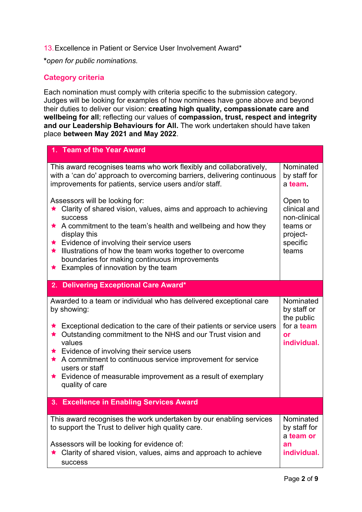13.Excellence in Patient or Service User Involvement Award\*

**\****open for public nominations.*

# **Category criteria**

Each nomination must comply with criteria specific to the submission category. Judges will be looking for examples of how nominees have gone above and beyond their duties to deliver our vision: **creating high quality, compassionate care and wellbeing for all**; reflecting our values of **compassion, trust, respect and integrity and our Leadership Behaviours for All.** The work undertaken should have taken place **between May 2021 and May 2022**.

| 1. Team of the Year Award                                                                                                                                                                                                                                                                                                                                                                                                                               |                                                                                      |
|---------------------------------------------------------------------------------------------------------------------------------------------------------------------------------------------------------------------------------------------------------------------------------------------------------------------------------------------------------------------------------------------------------------------------------------------------------|--------------------------------------------------------------------------------------|
| This award recognises teams who work flexibly and collaboratively,<br>with a 'can do' approach to overcoming barriers, delivering continuous<br>improvements for patients, service users and/or staff.                                                                                                                                                                                                                                                  | Nominated<br>by staff for<br>a team.                                                 |
| Assessors will be looking for:<br>★ Clarity of shared vision, values, aims and approach to achieving<br><b>SUCCESS</b><br>$\star$ A commitment to the team's health and wellbeing and how they<br>display this<br>★ Evidence of involving their service users<br>Illustrations of how the team works together to overcome<br>boundaries for making continuous improvements<br>$\star$ Examples of innovation by the team                                | Open to<br>clinical and<br>non-clinical<br>teams or<br>project-<br>specific<br>teams |
| <b>Delivering Exceptional Care Award*</b><br>2.                                                                                                                                                                                                                                                                                                                                                                                                         |                                                                                      |
| Awarded to a team or individual who has delivered exceptional care<br>by showing:<br>Exceptional dedication to the care of their patients or service users<br>★ Outstanding commitment to the NHS and our Trust vision and<br>values<br>★ Evidence of involving their service users<br>★ A commitment to continuous service improvement for service<br>users or staff<br>Evidence of measurable improvement as a result of exemplary<br>quality of care | Nominated<br>by staff or<br>the public<br>for a team<br>or<br>individual.            |
| 3. Excellence in Enabling Services Award                                                                                                                                                                                                                                                                                                                                                                                                                |                                                                                      |
| This award recognises the work undertaken by our enabling services<br>to support the Trust to deliver high quality care.<br>Assessors will be looking for evidence of:<br>★ Clarity of shared vision, values, aims and approach to achieve                                                                                                                                                                                                              | Nominated<br>by staff for<br>a team or<br>an<br>individual.                          |
| success                                                                                                                                                                                                                                                                                                                                                                                                                                                 |                                                                                      |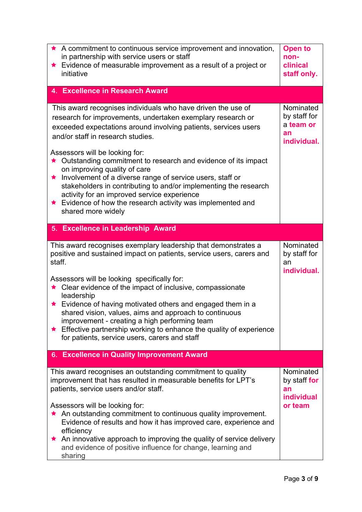| $\star$ A commitment to continuous service improvement and innovation,<br>in partnership with service users or staff<br>Evidence of measurable improvement as a result of a project or<br>initiative                                                                                                                                                                                                                                                                                                                                                                     | <b>Open to</b><br>non-<br>clinical<br>staff only.               |
|--------------------------------------------------------------------------------------------------------------------------------------------------------------------------------------------------------------------------------------------------------------------------------------------------------------------------------------------------------------------------------------------------------------------------------------------------------------------------------------------------------------------------------------------------------------------------|-----------------------------------------------------------------|
| 4. Excellence in Research Award                                                                                                                                                                                                                                                                                                                                                                                                                                                                                                                                          |                                                                 |
| This award recognises individuals who have driven the use of<br>research for improvements, undertaken exemplary research or<br>exceeded expectations around involving patients, services users<br>and/or staff in research studies.<br>Assessors will be looking for:                                                                                                                                                                                                                                                                                                    | Nominated<br>by staff for<br>a team or<br>an<br>individual.     |
| ★ Outstanding commitment to research and evidence of its impact<br>on improving quality of care<br>Involvement of a diverse range of service users, staff or<br>$\star$<br>stakeholders in contributing to and/or implementing the research<br>activity for an improved service experience<br>★ Evidence of how the research activity was implemented and<br>shared more widely                                                                                                                                                                                          |                                                                 |
| 5. Excellence in Leadership Award                                                                                                                                                                                                                                                                                                                                                                                                                                                                                                                                        |                                                                 |
| This award recognises exemplary leadership that demonstrates a<br>positive and sustained impact on patients, service users, carers and<br>staff.<br>Assessors will be looking specifically for:<br>Clear evidence of the impact of inclusive, compassionate<br>leadership<br>Evidence of having motivated others and engaged them in a<br>shared vision, values, aims and approach to continuous<br>improvement - creating a high performing team<br>Effective partnership working to enhance the quality of experience<br>for patients, service users, carers and staff | Nominated<br>by staff for<br>an<br>individual.                  |
| 6. Excellence in Quality Improvement Award                                                                                                                                                                                                                                                                                                                                                                                                                                                                                                                               |                                                                 |
| This award recognises an outstanding commitment to quality<br>improvement that has resulted in measurable benefits for LPT's<br>patients, service users and/or staff.<br>Assessors will be looking for:<br>An outstanding commitment to continuous quality improvement.<br>Evidence of results and how it has improved care, experience and<br>efficiency<br>An innovative approach to improving the quality of service delivery<br>and evidence of positive influence for change, learning and<br>sharing                                                               | Nominated<br>by staff for<br>an<br><b>individual</b><br>or team |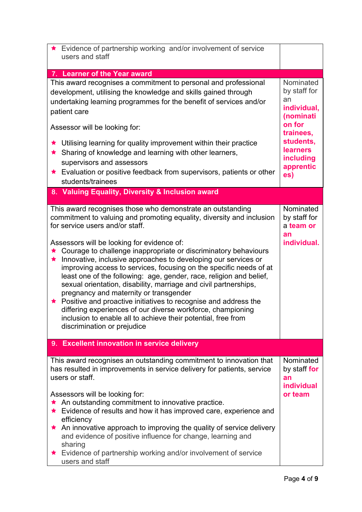| ★ Evidence of partnership working and/or involvement of service<br>users and staff                            |                           |
|---------------------------------------------------------------------------------------------------------------|---------------------------|
|                                                                                                               |                           |
| 7. Learner of the Year award                                                                                  |                           |
| This award recognises a commitment to personal and professional                                               | Nominated<br>by staff for |
| development, utilising the knowledge and skills gained through                                                | an                        |
| undertaking learning programmes for the benefit of services and/or                                            | individual,               |
| patient care                                                                                                  | (nominati                 |
| Assessor will be looking for:                                                                                 | on for<br>trainees,       |
| Utilising learning for quality improvement within their practice                                              | students,                 |
| ★ Sharing of knowledge and learning with other learners,                                                      | <b>learners</b>           |
| supervisors and assessors                                                                                     | including                 |
| Evaluation or positive feedback from supervisors, patients or other                                           | apprentic                 |
| students/trainees                                                                                             | es)                       |
| 8. Valuing Equality, Diversity & Inclusion award                                                              |                           |
|                                                                                                               |                           |
| This award recognises those who demonstrate an outstanding                                                    | Nominated                 |
| commitment to valuing and promoting equality, diversity and inclusion                                         | by staff for              |
| for service users and/or staff.                                                                               | a team or                 |
|                                                                                                               | an                        |
| Assessors will be looking for evidence of:<br>Courage to challenge inappropriate or discriminatory behaviours | individual.               |
| Innovative, inclusive approaches to developing our services or<br>★                                           |                           |
| improving access to services, focusing on the specific needs of at                                            |                           |
| least one of the following: age, gender, race, religion and belief,                                           |                           |
| sexual orientation, disability, marriage and civil partnerships,                                              |                           |
| pregnancy and maternity or transgender                                                                        |                           |
| ★ Positive and proactive initiatives to recognise and address the                                             |                           |
| differing experiences of our diverse workforce, championing                                                   |                           |
| inclusion to enable all to achieve their potential, free from                                                 |                           |
| discrimination or prejudice                                                                                   |                           |
| 9. Excellent innovation in service delivery                                                                   |                           |
|                                                                                                               |                           |
| This award recognises an outstanding commitment to innovation that                                            | Nominated                 |
| has resulted in improvements in service delivery for patients, service                                        | by staff for              |
| users or staff.                                                                                               | an                        |
|                                                                                                               | individual                |
| Assessors will be looking for:<br>An outstanding commitment to innovative practice.                           | or team                   |
| Evidence of results and how it has improved care, experience and                                              |                           |
| efficiency                                                                                                    |                           |
| An innovative approach to improving the quality of service delivery                                           |                           |
| and evidence of positive influence for change, learning and                                                   |                           |
| sharing                                                                                                       |                           |
| Evidence of partnership working and/or involvement of service                                                 |                           |
| users and staff                                                                                               |                           |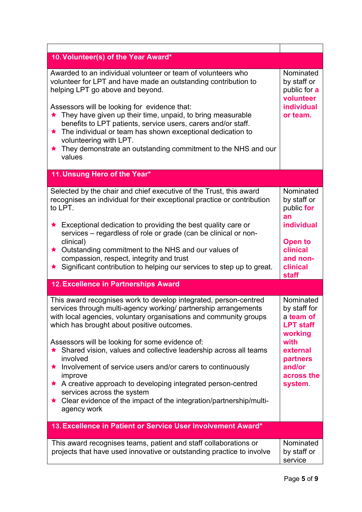| 10. Volunteer(s) of the Year Award*                                                                                                                                                                                                                                                |                                                                                 |
|------------------------------------------------------------------------------------------------------------------------------------------------------------------------------------------------------------------------------------------------------------------------------------|---------------------------------------------------------------------------------|
| Awarded to an individual volunteer or team of volunteers who<br>volunteer for LPT and have made an outstanding contribution to<br>helping LPT go above and beyond.<br>Assessors will be looking for evidence that:<br>★ They have given up their time, unpaid, to bring measurable | Nominated<br>by staff or<br>public for a<br>volunteer<br>individual<br>or team. |
| benefits to LPT patients, service users, carers and/or staff.<br>The individual or team has shown exceptional dedication to<br>$\bigstar$<br>volunteering with LPT.<br>They demonstrate an outstanding commitment to the NHS and our<br>$\star$<br>values                          |                                                                                 |
| 11. Unsung Hero of the Year*                                                                                                                                                                                                                                                       |                                                                                 |
| Selected by the chair and chief executive of the Trust, this award<br>recognises an individual for their exceptional practice or contribution<br>to LPT.                                                                                                                           | Nominated<br>by staff or<br>public for<br>an                                    |
| Exceptional dedication to providing the best quality care or<br>$\star$<br>services - regardless of role or grade (can be clinical or non-                                                                                                                                         | individual                                                                      |
| clinical)<br>Outstanding commitment to the NHS and our values of<br>★.                                                                                                                                                                                                             | <b>Open to</b><br>clinical                                                      |
| compassion, respect, integrity and trust<br>Significant contribution to helping our services to step up to great.                                                                                                                                                                  | and non-<br>clinical<br>staff                                                   |
| 12. Excellence in Partnerships Award                                                                                                                                                                                                                                               |                                                                                 |
| This award recognises work to develop integrated, person-centred<br>services through multi-agency working/ partnership arrangements<br>with local agencies, voluntary organisations and community groups<br>which has brought about positive outcomes.                             | Nominated<br>by staff for<br>a team of<br><b>LPT staff</b><br>working           |
| Assessors will be looking for some evidence of:<br>★ Shared vision, values and collective leadership across all teams<br>involved                                                                                                                                                  | with<br>external<br>partners                                                    |
| Involvement of service users and/or carers to continuously<br>improve                                                                                                                                                                                                              | and/or<br>across the                                                            |
| A creative approach to developing integrated person-centred<br>services across the system                                                                                                                                                                                          | system.                                                                         |
| ★ Clear evidence of the impact of the integration/partnership/multi-<br>agency work                                                                                                                                                                                                |                                                                                 |
| 13. Excellence in Patient or Service User Involvement Award*                                                                                                                                                                                                                       |                                                                                 |
| This award recognises teams, patient and staff collaborations or<br>projects that have used innovative or outstanding practice to involve                                                                                                                                          | Nominated<br>by staff or<br>service                                             |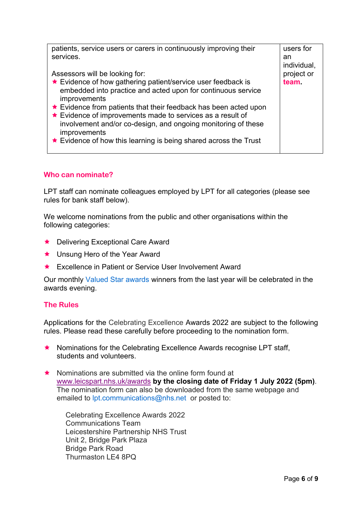| patients, service users or carers in continuously improving their | users for   |
|-------------------------------------------------------------------|-------------|
| services.                                                         | an          |
|                                                                   | individual, |
| Assessors will be looking for:                                    | project or  |
| ★ Evidence of how gathering patient/service user feedback is      | <b>team</b> |
| embedded into practice and acted upon for continuous service      |             |
| improvements                                                      |             |
| ★ Evidence from patients that their feedback has been acted upon  |             |
| ★ Evidence of improvements made to services as a result of        |             |
| involvement and/or co-design, and ongoing monitoring of these     |             |
| improvements                                                      |             |
| ★ Evidence of how this learning is being shared across the Trust  |             |
|                                                                   |             |

# **Who can nominate?**

LPT staff can nominate colleagues employed by LPT for all categories (please see rules for bank staff below).

We welcome nominations from the public and other organisations within the following categories:

- ★ Delivering Exceptional Care Award
- ★ Unsung Hero of the Year Award
- ★ Excellence in Patient or Service User Involvement Award

Our monthly [Valued Star awards](http://www.leicspart.nhs.uk/valuedstars) winners from the last year will be celebrated in the awards evening.

# **The Rules**

Applications for the Celebrating Excellence Awards 2022 are subject to the following rules. Please read these carefully before proceeding to the nomination form.

- $\star$  Nominations for the Celebrating Excellence Awards recognise LPT staff, students and volunteers.
- Nominations are submitted via the online form found at [www.leicspart.nhs.uk/awards](http://www.leicspart.nhs.uk/awards) **by the closing date of Friday 1 July 2022 (5pm)**. The nomination form can also be downloaded from the same webpage and emailed to [lpt.communications@nhs.net](mailto:lpt.communications@nhs.net) or posted to:

Celebrating Excellence Awards 2022 Communications Team Leicestershire Partnership NHS Trust Unit 2, Bridge Park Plaza Bridge Park Road Thurmaston LE4 8PQ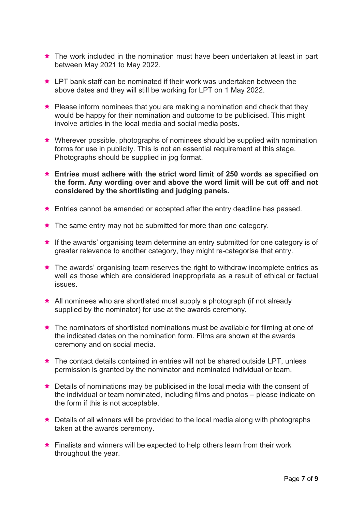- ★ The work included in the nomination must have been undertaken at least in part between May 2021 to May 2022.
- ★ LPT bank staff can be nominated if their work was undertaken between the above dates and they will still be working for LPT on 1 May 2022.
- Please inform nominees that you are making a nomination and check that they would be happy for their nomination and outcome to be publicised. This might involve articles in the local media and social media posts.
- Wherever possible, photographs of nominees should be supplied with nomination forms for use in publicity. This is not an essential requirement at this stage. Photographs should be supplied in jpg format.
- **Entries must adhere with the strict word limit of 250 words as specified on the form. Any wording over and above the word limit will be cut off and not considered by the shortlisting and judging panels.**
- ★ Entries cannot be amended or accepted after the entry deadline has passed.
- $\star$  The same entry may not be submitted for more than one category.
- ★ If the awards' organising team determine an entry submitted for one category is of greater relevance to another category, they might re-categorise that entry.
- ★ The awards' organising team reserves the right to withdraw incomplete entries as well as those which are considered inappropriate as a result of ethical or factual issues.
- ★ All nominees who are shortlisted must supply a photograph (if not already supplied by the nominator) for use at the awards ceremony.
- ★ The nominators of shortlisted nominations must be available for filming at one of the indicated dates on the nomination form. Films are shown at the awards ceremony and on social media.
- ★ The contact details contained in entries will not be shared outside LPT, unless permission is granted by the nominator and nominated individual or team.
- ★ Details of nominations may be publicised in the local media with the consent of the individual or team nominated, including films and photos – please indicate on the form if this is not acceptable.
- ★ Details of all winners will be provided to the local media along with photographs taken at the awards ceremony.
- ★ Finalists and winners will be expected to help others learn from their work throughout the year.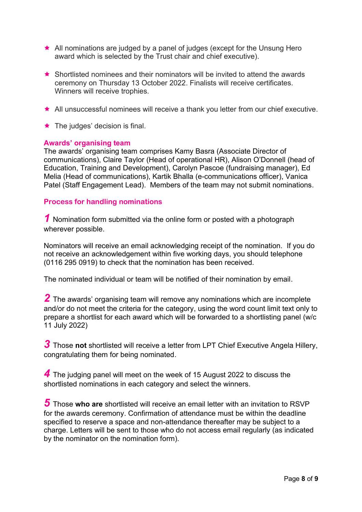- ★ All nominations are judged by a panel of judges (except for the Unsung Hero award which is selected by the Trust chair and chief executive).
- $\star$  Shortlisted nominees and their nominators will be invited to attend the awards ceremony on Thursday 13 October 2022. Finalists will receive certificates. Winners will receive trophies.
- All unsuccessful nominees will receive a thank you letter from our chief executive.
- $\star$  The judges' decision is final.

#### **Awards' organising team**

The awards' organising team comprises Kamy Basra (Associate Director of communications), Claire Taylor (Head of operational HR), Alison O'Donnell (head of Education, Training and Development), Carolyn Pascoe (fundraising manager), Ed Melia (Head of communications), Kartik Bhalla (e-communications officer), Vanica Patel (Staff Engagement Lead). Members of the team may not submit nominations.

# **Process for handling nominations**

*1* Nomination form submitted via the online form or posted with a photograph wherever possible.

Nominators will receive an email acknowledging receipt of the nomination. If you do not receive an acknowledgement within five working days, you should telephone (0116 295 0919) to check that the nomination has been received.

The nominated individual or team will be notified of their nomination by email.

*2* The awards' organising team will remove any nominations which are incomplete and/or do not meet the criteria for the category, using the word count limit text only to prepare a shortlist for each award which will be forwarded to a shortlisting panel (w/c 11 July 2022)

*3* Those **not** shortlisted will receive a letter from LPT Chief Executive Angela Hillery, congratulating them for being nominated.

*4* The judging panel will meet on the week of 15 August 2022 to discuss the shortlisted nominations in each category and select the winners.

*5* Those **who are** shortlisted will receive an email letter with an invitation to RSVP for the awards ceremony. Confirmation of attendance must be within the deadline specified to reserve a space and non-attendance thereafter may be subject to a charge. Letters will be sent to those who do not access email regularly (as indicated by the nominator on the nomination form).